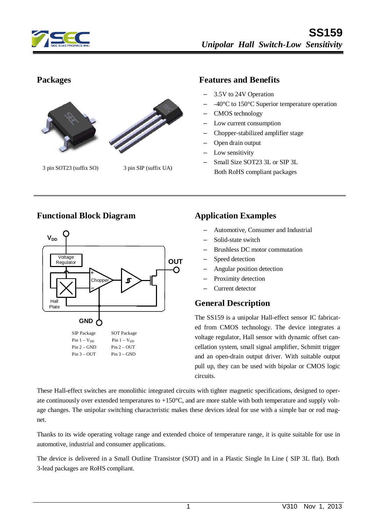



3 pin SOT23 (suffix SO) 3 pin SIP (suffix UA)

#### **Packages Features and Benefits**

- 3.5V to 24V Operation
- -40°C to 150°C Superior temperature operation
- CMOS technology
- Low current consumption
- Chopper-stabilized amplifier stage
- Open drain output
- Low sensitivity
- Small Size SOT23 3L or SIP 3L Both RoHS compliant packages

#### **Functional Block Diagram Application Examples**



- Automotive, Consumer and Industrial
- Solid-state switch
- Brushless DC motor commutation
- Speed detection
- Angular position detection
- Proximity detection
- Current detector

#### **General Description**

The SS159 is a unipolar Hall-effect sensor IC fabricated from CMOS technology. The device integrates a voltage regulator, Hall sensor with dynamic offset cancellation system, small signal amplifier, Schmitt trigger and an open-drain output driver. With suitable output pull up, they can be used with bipolar or CMOS logic circuits.

These Hall-effect switches are monolithic integrated circuits with tighter magnetic specifications, designed to operate continuously over extended temperatures to  $+150^{\circ}$ C, and are more stable with both temperature and supply voltage changes. The unipolar switching characteristic makes these devices ideal for use with a simple bar or rod magnet.

Thanks to its wide operating voltage range and extended choice of temperature range, it is quite suitable for use in automotive, industrial and consumer applications.

The device is delivered in a Small Outline Transistor (SOT) and in a Plastic Single In Line ( SIP 3L flat). Both 3-lead packages are RoHS compliant.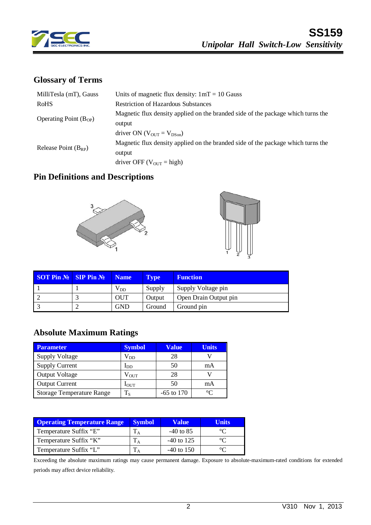

### **Glossary of Terms**

| Units of magnetic flux density: $1mT = 10$ Gauss                                 |
|----------------------------------------------------------------------------------|
| <b>Restriction of Hazardous Substances</b>                                       |
| Magnetic flux density applied on the branded side of the package which turns the |
| output                                                                           |
| driver ON $(V_{\text{OUT}} = V_{\text{DSon}})$                                   |
| Magnetic flux density applied on the branded side of the package which turns the |
| output                                                                           |
| driver OFF ( $V_{OUT}$ = high)                                                   |
|                                                                                  |

# **Pin Definitions and Descriptions**





| <b>SOT Pin <math>N_2</math> SIP Pin <math>N_2</math></b> | Name            | <b>Type</b> | <b>Function</b>       |  |
|----------------------------------------------------------|-----------------|-------------|-----------------------|--|
|                                                          | V <sub>DD</sub> | Supply      | Supply Voltage pin    |  |
|                                                          | <b>OUT</b>      | Output      | Open Drain Output pin |  |
|                                                          | <b>GND</b>      | Ground      | Ground pin            |  |

#### **Absolute Maximum Ratings**

| <b>Parameter</b>                 | <b>Symbol</b>  | Value        | <b>Units</b> |
|----------------------------------|----------------|--------------|--------------|
| <b>Supply Voltage</b>            | $\rm V_{DD}$   | 28           |              |
| <b>Supply Current</b>            | $I_{DD}$       | 50           | mA           |
| <b>Output Voltage</b>            | $\rm V_{OUT}$  | 28           |              |
| <b>Output Current</b>            | $I_{\rm{OUT}}$ | 50           | mA           |
| <b>Storage Temperature Range</b> | $T_S$          | $-65$ to 170 | $\sim$       |

| <b>Operating Temperature Range</b> | <b>Symbol</b> | <b>Value</b> | Units |
|------------------------------------|---------------|--------------|-------|
| Temperature Suffix "E"             |               | $-40$ to 85  |       |
| Temperature Suffix "K"             |               | $-40$ to 125 |       |
| Temperature Suffix "L"             |               | $-40$ to 150 |       |

Exceeding the absolute maximum ratings may cause permanent damage. Exposure to absolute-maximum-rated conditions for extended periods may affect device reliability.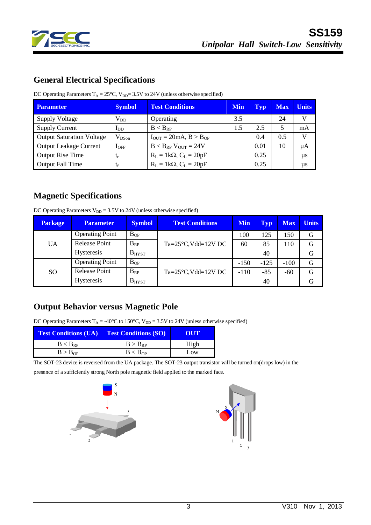

### **General Electrical Specifications**

DC Operating Parameters  $T_A = 25^{\circ}C$ ,  $V_{DD} = 3.5V$  to 24V (unless otherwise specified)

| Parameter                        | <b>Symbol</b> | <b>Test Conditions</b>              | <b>Min</b> | Typ  | <b>Max</b> | <b>Units</b> |
|----------------------------------|---------------|-------------------------------------|------------|------|------------|--------------|
| <b>Supply Voltage</b>            | $\rm V_{DD}$  | Operating                           | 3.5        |      | 24         | V            |
| <b>Supply Current</b>            | $I_{DD}$      | $B < B_{RP}$                        | 1.5        | 2.5  | 5          | mA           |
| <b>Output Saturation Voltage</b> | $V_{DSon}$    | $I_{OUT} = 20mA, B > B_{OP}$        |            | 0.4  | 0.5        | V            |
| <b>Output Leakage Current</b>    | $1_{OFF}$     | $B < B_{RP}$ V <sub>OUT</sub> = 24V |            | 0.01 | 10         | $\mu A$      |
| <b>Output Rise Time</b>          | $t_{r}$       | $R_L = 1k\Omega$ , $C_L = 20pF$     |            | 0.25 |            | $\mu s$      |
| <b>Output Fall Time</b>          | tf            | $R_L = 1k\Omega$ , $C_L = 20pF$     |            | 0.25 |            | $\mu s$      |

# **Magnetic Specifications**

DC Operating Parameters  $V_{DD} = 3.5V$  to 24V (unless otherwise specified)

| <b>Package</b> | <b>Parameter</b>       | <b>Symbol</b> | <b>Test Conditions</b>             | <b>Min</b> | <b>Typ</b> | <b>Max</b> | <b>Units</b> |
|----------------|------------------------|---------------|------------------------------------|------------|------------|------------|--------------|
| <b>UA</b>      | <b>Operating Point</b> | $B_{OP}$      | $Ta = 25^{\circ}C$ , Vdd= $12V$ DC | 100        | 125        | 150        | G            |
|                | <b>Release Point</b>   | $B_{RP}$      |                                    | 60         | 85         | 110        | G            |
|                | <b>Hysteresis</b>      | $B_{H YST}$   |                                    |            | 40         |            | G            |
| <b>SO</b>      | <b>Operating Point</b> | $B_{OP}$      | $Ta = 25^{\circ}C$ , Vdd= $12V$ DC | $-150$     | $-125$     | $-100$     | G            |
|                | <b>Release Point</b>   | $B_{RP}$      |                                    | $-110$     | $-85$      | $-60$      | G            |
|                | <b>Hysteresis</b>      | $B_{H YST}$   |                                    |            | 40         |            | G            |

# **Output Behavior versus Magnetic Pole**

DC Operating Parameters  $T_A = -40^{\circ}C$  to 150°C,  $V_{DD} = 3.5V$  to 24V (unless otherwise specified)

| <b>Test Conditions (UA)</b> | <b>Test Conditions (SO)</b> | OUT  |
|-----------------------------|-----------------------------|------|
| $B < B_{RP}$                | $B > B_{RP}$                | High |
| B > B <sub>OP</sub>         | B < B <sub>OP</sub>         | Low  |

The SOT-23 device is reversed from the UA package. The SOT-23 output transistor will be turned on(drops low) in the presence of a sufficiently strong North pole magnetic field applied to the marked face.



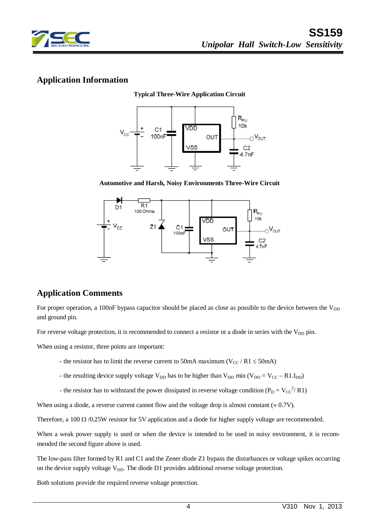

#### **Application Information**

**Typical Three-Wire Application Circuit**



**Automotive and Harsh, Noisy Environments Three-Wire Circuit**



# **Application Comments**

For proper operation, a 100nF bypass capacitor should be placed as close as possible to the device between the  $V_{DD}$ and ground pin.

For reverse voltage protection, it is recommended to connect a resistor or a diode in series with the V<sub>DD</sub> pin.

When using a resistor, three points are important:

- the resistor has to limit the reverse current to 50mA maximum ( $V_{CC}$  / R1  $\leq$  50mA)
- the resulting device supply voltage  $V_{DD}$  has to be higher than  $V_{DD}$  min ( $V_{DD} = V_{CC} R1.I_{DD}$ )
- the resistor has to withstand the power dissipated in reverse voltage condition ( $P_D = V_{CC}^{2/2} R1$ )

When using a diode, a reverse current cannot flow and the voltage drop is almost constant  $(\approx 0.7V)$ .

Therefore, a 100 Ω /0.25W resistor for 5V application and a diode for higher supply voltage are recommended.

When a weak power supply is used or when the device is intended to be used in noisy environment, it is recommended the second figure above is used.

The low-pass filter formed by R1 and C1 and the Zener diode Z1 bypass the disturbances or voltage spikes occurring on the device supply voltage  $V_{DD}$ . The diode D1 provides additional reverse voltage protection.

Both solutions provide the required reverse voltage protection.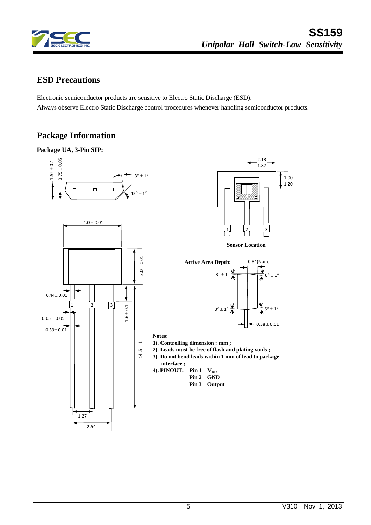

2.13 1.87

0.84(Nom)

 $0.38 \pm 0.01$ 

**Sensor Location**

1 2 3

1.00  $, 1.20$ 

#### **ESD Precautions**

Electronic semiconductor products are sensitive to Electro Static Discharge (ESD). Always observe Electro Static Discharge control procedures whenever handling semiconductor products.

# **Package Information**

#### **Package UA, 3-Pin SIP:**





- **2). Leads must be free of flash and plating voids ;**
- **3). Do not bend leads within 1 mm of lead to package**